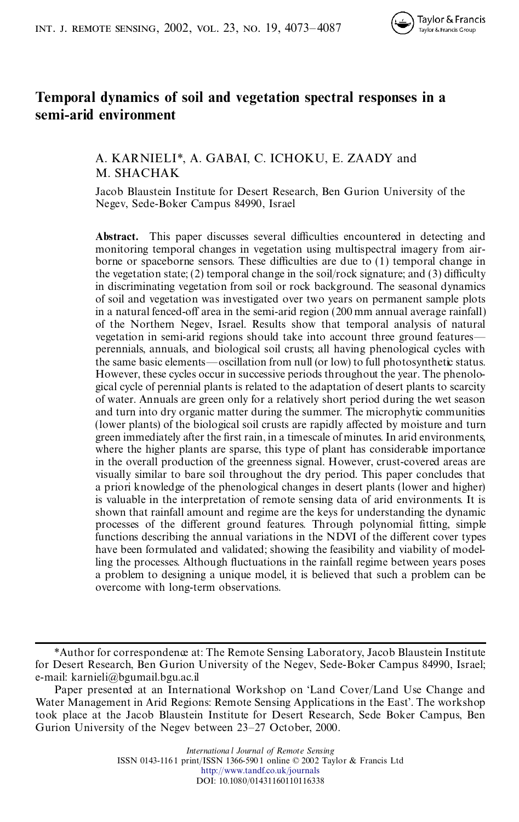

# **Temporal dynamics of soil and vegetation spectral responses in a semi-arid environment**

A. KARNIELI\*, A. GABAI, C. ICHOKU, E. ZAADY and M. SHACHAK

Jacob Blaustein Institute for Desert Research, Ben Gurion University of the Negev, Sede-Boker Campus 84990, Israel

Abstract. This paper discusses several difficulties encountered in detecting and monitoring temporal changes in vegetation using multispectral imagery from air borne or spaceborne sensors. These difficulties are due to  $(1)$  temporal change in the vegetation state; (2) temporal change in the soil/rock signature; and (3) difficulty in discriminating vegetation from soil or rock background. The seasonal dynamics of soil and vegetation was investigated over two years on permanent sample plots in a natural fenced-off area in the semi-arid region (200 mm annual average rainfall) of the Northern Negev, Israel. Results show that temporal analysis of natural vegetation in semi-arid regions should take into account three ground features perennials, annuals, and biological soil crusts; all having phenological cycles with the same basic elements—oscillation from null (or low) to full photosynthetic status. However, these cycles occur in successive periods throughout the year. The phenolo gical cycle of perennial plants is related to the adaptation of desert plants to scarcity of water. Annuals are green only for a relatively short period during the wet season and turn into dry organic matter during the summer. The microphytic communities (lower plants) of the biological soil crusts are rapidly affected by moisture and turn green immediately after the first rain, in a timescale of minutes. In arid environments, where the higher plants are sparse, this type of plant has considerable importance in the overall production of the greenness signal. However, crust-covered areas are visually similar to bare soil throughout the dry period. This paper concludes that a priori knowledge of the phenological changes in desert plants (lower and higher) is valuable in the interpretation of remote sensing data of arid environments. It is shown that rainfall amount and regime are the keys for understanding the dynamic processes of the different ground features. Through polynomial fitting, simple functions describing the annual variations in the NDVI of the different cover types have been formulated and validated; showing the feasibility and viability of modelling the processes. Although fluctuations in the rainfall regime between years poses a problem to designing a unique model, it is believed that such a problem can be overcome with long-term observations.

<sup>\*</sup>Author for correspondence at: The Remote Sensing Laboratory, Jacob Blaustein Institute for Desert Research, Ben Gurion University of the Negev, Sede-Boker Campus 84990, Israel; e-mail: karnieli@bgumail.bgu.ac.il

Paper presented at an International Workshop on 'Land Cover/Land Use Change and Water Management in Arid Regions: Remote Sensing Applications in the East'. The workshop took place at the Jacob Blaustein Institute for Desert Research, Sede Boker Campus, Ben Gurion University of the Negev between 23–27 October, 2000.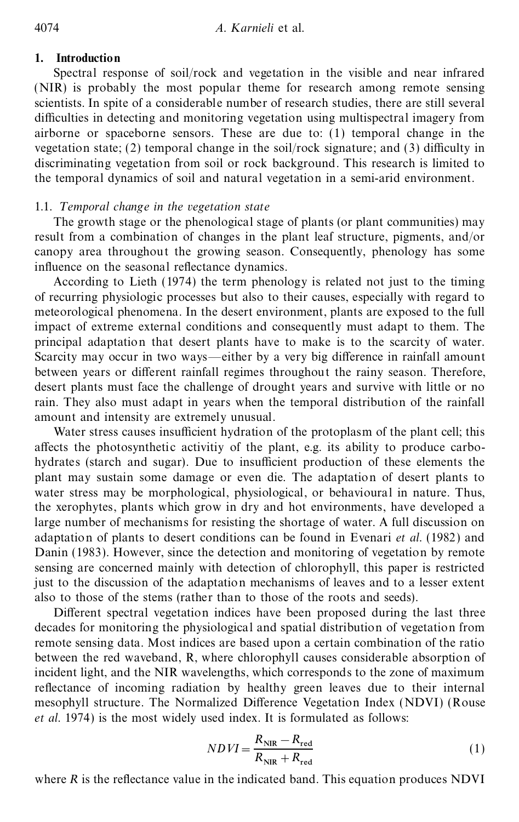## **1. Introduction**

Spectral response of soil/rock and vegetation in the visible and near infrared (NIR) is probably the most popular theme for research among remote sensing scientists. In spite of a considerable number of research studies, there are still several difficulties in detecting and monitoring vegetation using multispectral imagery from airborne or spaceborne sensors. These are due to: (1) temporal change in the vegetation state; (2) temporal change in the soil/rock signature; and  $(3)$  difficulty in discriminating vegetation from soil or rock background. This research is limited to the temporal dynamics of soil and natural vegetation in a semi-arid environment.

#### 1.1. *T emporal change in the vegetation state*

The growth stage or the phenological stage of plants (or plant communities) may result from a combination of changes in the plant leaf structure, pigments, and/or canopy area throughout the growing season. Consequently, phenology has some influence on the seasonal reflectance dynamics.

According to Lieth (1974) the term phenology is related not just to the timing of recurring physiologic processes but also to their causes, especially with regard to meteorological phenomena. In the desert environment, plants are exposed to the full impact of extreme external conditions and consequently must adapt to them. The principal adaptation that desert plants have to make is to the scarcity of water. Scarcity may occur in two ways—either by a very big difference in rainfall amount between years or different rainfall regimes throughout the rainy season. Therefore, desert plants must face the challenge of drought years and survive with little or no rain. They also must adapt in years when the temporal distribution of the rainfall amount and intensity are extremely unusual.

Water stress causes insufficient hydration of the protoplasm of the plant cell; this affects the photosynthetic activitiy of the plant, e.g. its ability to produce carbohydrates (starch and sugar). Due to insufficient production of these elements the plant may sustain some damage or even die. The adaptation of desert plants to water stress may be morphological, physiological, or behavioural in nature. Thus, the xerophytes, plants which grow in dry and hot environments, have developed a large number of mechanisms for resisting the shortage of water. A full discussion on adaptation of plants to desert conditions can be found in Evenari *et al*. (1982 ) and Danin (1983). However, since the detection and monitoring of vegetation by remote sensing are concerned mainly with detection of chlorophyll, this paper is restricted just to the discussion of the adaptation mechanisms of leaves and to a lesser extent also to those of the stems (rather than to those of the roots and seeds).

Different spectral vegetation indices have been proposed during the last three decades for monitoring the physiological and spatial distribution of vegetation from remote sensing data. Most indices are based upon a certain combination of the ratio between the red waveband, R, where chlorophyll causes considerable absorption of incident light, and the NIR wavelengths, which corresponds to the zone of maximum reflectance of incoming radiation by healthy green leaves due to their internal mesophyll structure. The Normalized Difference Vegetation Index (NDVI) (Rouse *et al*. 1974) is the most widely used index. It is formulated as follows:

$$
NDVI = \frac{R_{\text{NIR}} - R_{\text{red}}}{R_{\text{NIR}} + R_{\text{red}}}
$$
\n(1)

where  $R$  is the reflectance value in the indicated band. This equation produces NDVI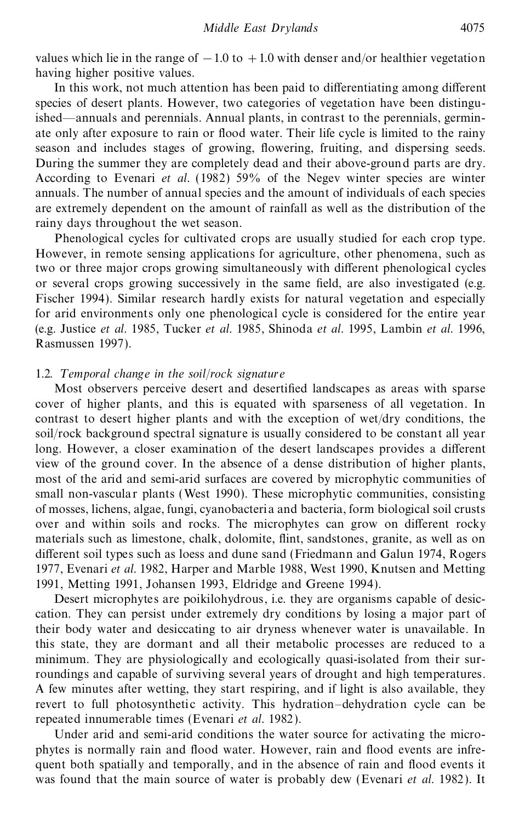values which lie in the range of  $-1.0$  to  $+1.0$  with denser and/or healthier vegetation having higher positive values.

In this work, not much attention has been paid to differentiating among different species of desert plants. However, two categories of vegetation have been distinguished—annuals and perennials. Annual plants, in contrast to the perennials, germin ate only after exposure to rain or flood water. Their life cycle is limited to the rainy season and includes stages of growing, flowering, fruiting, and dispersing seeds. During the summer they are completely dead and their above-ground parts are dry. According to Evenari *et al*. (1982) 59% of the Negev winter species are winter annuals. The number of annual species and the amount of individuals of each species are extremely dependent on the amount of rainfall as well as the distribution of the rainy days throughout the wet season.

Phenological cycles for cultivated crops are usually studied for each crop type. However, in remote sensing applications for agriculture, other phenomena, such as two or three major crops growing simultaneously with different phenological cycles or several crops growing successively in the same field, are also investigated (e.g. Fischer 1994). Similar research hardly exists for natural vegetation and especially for arid environments only one phenological cycle is considered for the entire year (e.g. Justice *et al*. 1985, Tucker *et al*. 1985, Shinoda *et al*. 1995, Lambin *et al*. 1996, Rasmussen 1997).

## 1.2. *T emporal change in the soil*/*rock signature*

Most observers perceive desert and desertified landscapes as areas with sparse cover of higher plants, and this is equated with sparseness of all vegetation. In contrast to desert higher plants and with the exception of wet/dry conditions, the soil/rock background spectral signature is usually considered to be constant all year long. However, a closer examination of the desert landscapes provides a different view of the ground cover. In the absence of a dense distribution of higher plants, most of the arid and semi-arid surfaces are covered by microphytic communities of small non-vascular plants (West 1990). These microphytic communities, consisting of mosses, lichens, algae, fungi, cyanobacteria and bacteria, form biological soil crusts over and within soils and rocks. The microphytes can grow on different rocky materials such as limestone, chalk, dolomite, flint, sandstones, granite, as well as on different soil types such as loess and dune sand (Friedmann and Galun 1974, Rogers 1977, Evenari *et al*. 1982, Harper and Marble 1988, West 1990, Knutsen and Metting 1991, Metting 1991, Johansen 1993, Eldridge and Greene 1994).

Desert microphytes are poikilohydrous, i.e. they are organisms capable of desic cation. They can persist under extremely dry conditions by losing a major part of their body water and desiccating to air dryness whenever water is unavailable. In this state, they are dormant and all their metabolic processes are reduced to a minimum. They are physiologically and ecologically quasi-isolated from their surroundings and capable of surviving several years of drought and high temperatures. A few minutes after wetting, they start respiring, and iflight is also available, they revert to full photosynthetic activity. This hydration–dehydration cycle can be repeated innumerable times (Evenari *et al*. 1982 ).

Under arid and semi-arid conditions the water source for activating the micro phytes is normally rain and flood water. However, rain and flood events are infrequent both spatially and temporally, and in the absence of rain and flood events it was found that the main source of water is probably dew (Evenari *et al*. 1982 ). It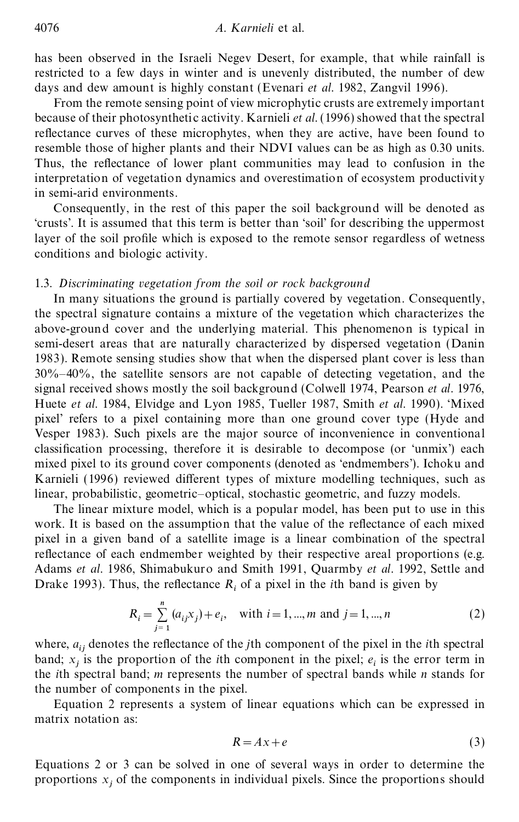has been observed in the Israeli Negev Desert, for example, that while rainfall is restricted to a few days in winter and is unevenly distributed, the number of dew days and dew amount is highly constant (Evenari *et al*. 1982, Zangvil 1996).

From the remote sensing point of view microphytic crusts are extremely important because of their photosynthetic activity. Karnieli *et al*. (1996) showed that the spectral reflectance curves of these microphytes, when they are active, have been found to resemble those of higher plants and their NDVI values can be as high as 0.30 units. Thus, the reflectance of lower plant communities may lead to confusion in the interpretation of vegetation dynamics and overestimation of ecosystem productivity in semi-arid environments.

Consequently, in the rest of this paper the soil background will be denoted as 'crusts'. It is assumed that this term is better than 'soil' for describing the uppermost layer of the soil profile which is exposed to the remote sensor regardless of wetness conditions and biologic activity.

## 1.3. *Discriminating vegetation from the soil or rock background*

In many situations the ground is partially covered by vegetation. Consequently, the spectral signature contains a mixture of the vegetation which characterizes the above-ground cover and the underlying material. This phenomenon is typical in semi-desert areas that are naturally characterized by dispersed vegetation (Danin 1983). Remote sensing studies show that when the dispersed plant cover is less than 30%–40%, the satellite sensors are not capable of detecting vegetation, and the signal received shows mostly the soil background (Colwell 1974, Pearson *et al*. 1976, Huete *et al*. 1984, Elvidge and Lyon 1985, Tueller 1987, Smith *et al*. 1990). 'Mixed pixel' refers to a pixel containing more than one ground cover type (Hyde and Vesper 1983). Such pixels are the major source of inconvenience in conventional classification processing, therefore it is desirable to decompose (or 'unmix') each mixed pixel to its ground cover components (denoted as 'endmembers'). Ichoku and Karnieli (1996) reviewed different types of mixture modelling techniques, such as linear, probabilistic, geometric–optical, stochastic geometric, and fuzzy models.

The linear mixture model, which is a popular model, has been put to use in this work. It is based on the assumption that the value of the reflectance of each mixed pixel in a given band of a satellite image is a linear combination of the spectral reflectance of each endmember weighted by their respective areal proportions (e.g. Adams *et al*. 1986, Shimabukuro and Smith 1991, Quarmby *et al*. 1992, Settle and Drake 1993). Thus, the reflectance  $R_i$  of a pixel in the *i*th band is given by

$$
R_i = \sum_{j=1}^{n} (a_{ij}x_j) + e_i, \text{ with } i = 1, ..., m \text{ and } j = 1, ..., n
$$
 (2)

where,  $a_{ij}$  denotes the reflectance of the *j*th component of the pixel in the *i*th spectral band;  $x_j$  is the proportion of the *i*th component in the pixel;  $e_i$  is the error term in the *i*th spectral band; *m* represents the number of spectral bands while *n* stands for the number of components in the pixel.

Equation 2 represents a system of linear equations which can be expressed in matrix notation as:

$$
R = Ax + e \tag{3}
$$

Equations 2 or 3 can be solved in one of several ways in order to determine the proportions *x j* of the components in individual pixels. Since the proportions should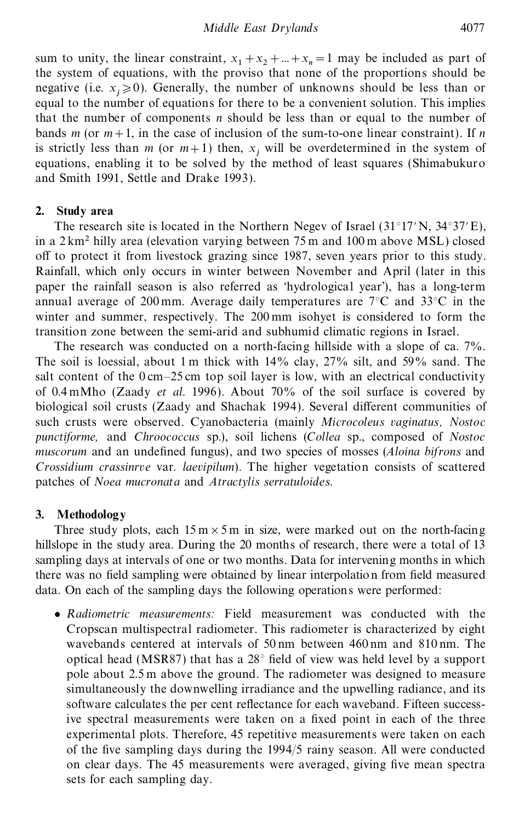sum to unity, the linear constraint,  $x_1 + x_2 + ... + x_n = 1$  may be included as part of the system of equations, with the proviso that none of the proportions should be negative (i.e.  $x_j \ge 0$ ). Generally, the number of unknowns should be less than or equal to the number of equations for there to be a convenient solution. This implies that the number of components *n* should be less than or equal to the number of bands *m* (or  $m+1$ , in the case of inclusion of the sum-to-one linear constraint). If *n* is strictly less than *m* (or  $m+1$ ) then,  $x_j$  will be overdetermined in the system of equations, enabling it to be solved by the method of least squares (Shimabukuro and Smith 1991, Settle and Drake 1993).

## **2. Study area**

The research site is located in the Northern Negev of Israel  $(31^{\circ}17' N, 34^{\circ}37' E)$ , in a  $2 \text{ km}^2$  hilly area (elevation varying between  $75 \text{ m}$  and  $100 \text{ m}$  above MSL) closed off to protect it from livestock grazing since 1987, seven years prior to this study. Rainfall, which only occurs in winter between November and April (later in this paper the rainfall season is also referred as 'hydrological year'), has a long-term annual average of 200 mm. Average daily temperatures are 7°C and 33°C in the winter and summer, respectively. The 200 mm isohyet is considered to form the transition zone between the semi-arid and subhumid climatic regions in Israel.

The research was conducted on a north-facing hillside with a slope of ca. 7%. The soil is loessial, about 1 m thick with 14% clay, 27% silt, and 59% sand. The salt content of the  $0 \text{ cm}-25 \text{ cm}$  top soil layer is low, with an electrical conductivity of 0.4 mMho (Zaady *et al*. 1996). About 70% of the soil surface is covered by biological soil crusts (Zaady and Shachak 1994). Several different communities of such crusts were observed. Cyanobacteria (mainly *Microcoleus vaginatus, Nostoc punctiforme,* and *Chroococcus* sp.), soil lichens (*Collea* sp., composed of *Nostoc muscorum* and an undefined fungus), and two species of mosses (*Aloina bifrons* and *Crossidium crassinrve* var. *laevipilum*). The higher vegetation consists of scattered patches of *Noea mucronata* and *Atractylis serratuloides*.

#### **3. Methodology**

Three study plots, each  $15 \text{ m} \times 5 \text{ m}$  in size, were marked out on the north-facing hillslope in the study area. During the 20 months of research, there were a total of 13 sampling days at intervals of one or two months. Data for intervening months in which there was no field sampling were obtained by linear interpolation from field measured data. On each of the sampling days the following operations were performed:

*Radiometric measurements:* Field measurement was conducted with the Cropscan multispectral radiometer. This radiometer is characterized by eight wavebands centered at intervals of 50 nm between 460 nm and 810 nm. The optical head (MSR87) that has a  $28^{\circ}$  field of view was held level by a support pole about 2.5 m above the ground. The radiometer was designed to measure simultaneously the downwelling irradiance and the upwelling radiance, and its software calculates the per cent reflectance for each waveband. Fifteen successive spectral measurements were taken on a fixed point in each of the three experimental plots. Therefore, 45 repetitive measurements were taken on each of the five sampling days during the  $1994/5$  rainy season. All were conducted on clear days. The 45 measurements were averaged, giving five mean spectra sets for each sampling day.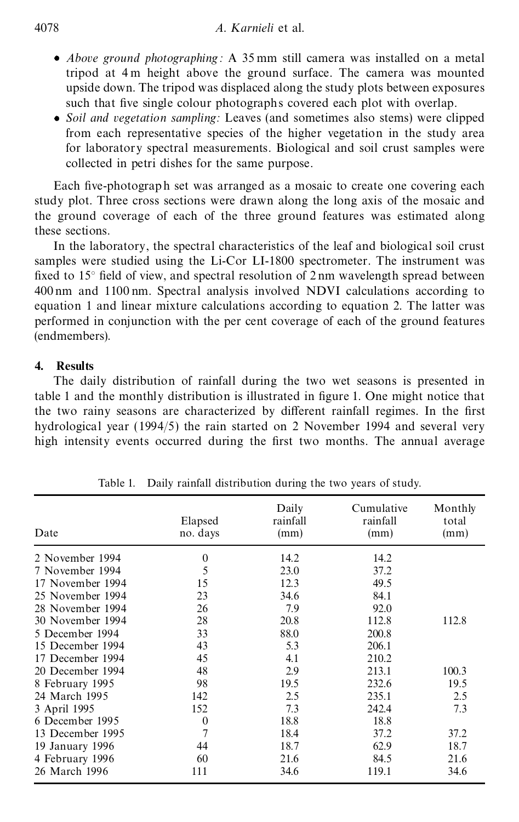- *Above ground photographing :* A 35 mm still camera was installed on a metal tripod at 4 m height above the ground surface. The camera was mounted upside down. The tripod was displaced along the study plots between exposures such that five single colour photographs covered each plot with overlap.
- *Soil and vegetation sampling:* Leaves (and sometimes also stems) were clipped from each representative species of the higher vegetation in the study area for laboratory spectral measurements. Biological and soil crust samples were collected in petri dishes for the same purpose.

Each five-photograph set was arranged as a mosaic to create one covering each study plot. Three cross sections were drawn along the long axis of the mosaic and the ground coverage of each of the three ground features was estimated along these sections.

In the laboratory, the spectral characteristics of the leaf and biological soil crust samples were studied using the Li-Cor LI-1800 spectrometer. The instrument was fixed to  $15^{\circ}$  field of view, and spectral resolution of  $2 \text{ nm}$  wavelength spread between 400 nm and 1100 nm. Spectral analysis involved NDVI calculations according to equation 1 and linear mixture calculations according to equation 2. The latter was performed in conjunction with the per cent coverage of each of the ground features (endmembers).

## **4. Results**

The daily distribution of rainfall during the two wet seasons is presented in table 1 and the monthly distribution is illustrated in figure 1. One might notice that the two rainy seasons are characterized by different rainfall regimes. In the first hydrological year (1994/5) the rain started on 2 November 1994 and several very high intensity events occurred during the first two months. The annual average

| Date             | Elapsed<br>no. days | Daily<br>rainfall<br>(mm) | Cumulative<br>rainfall<br>(mm) | Monthly<br>total<br>(mm) |
|------------------|---------------------|---------------------------|--------------------------------|--------------------------|
| 2 November 1994  | $\boldsymbol{0}$    | 14.2                      | 14.2                           |                          |
| 7 November 1994  | 5                   | 23.0                      | 37.2                           |                          |
| 17 November 1994 | 15                  | 12.3                      | 49.5                           |                          |
| 25 November 1994 | 23                  | 34.6                      | 84.1                           |                          |
| 28 November 1994 | 26                  | 7.9                       | 92.0                           |                          |
| 30 November 1994 | 28                  | 20.8                      | 112.8                          | 112.8                    |
| 5 December 1994  | 33                  | 88.0                      | 200.8                          |                          |
| 15 December 1994 | 43                  | 5.3                       | 206.1                          |                          |
| 17 December 1994 | 45                  | 4.1                       | 210.2                          |                          |
| 20 December 1994 | 48                  | 2.9                       | 213.1                          | 100.3                    |
| 8 February 1995  | 98                  | 19.5                      | 232.6                          | 19.5                     |
| 24 March 1995    | 142                 | 2.5                       | 235.1                          | 2.5                      |
| 3 April 1995     | 152                 | 7.3                       | 242.4                          | 7.3                      |
| 6 December 1995  | $\theta$            | 18.8                      | 18.8                           |                          |
| 13 December 1995 | 7                   | 18.4                      | 37.2                           | 37.2                     |
| 19 January 1996  | 44                  | 18.7                      | 62.9                           | 18.7                     |
| 4 February 1996  | 60                  | 21.6                      | 84.5                           | 21.6                     |
| 26 March 1996    | 111                 | 34.6                      | 119.1                          | 34.6                     |

Table 1. Daily rainfall distribution during the two years of study.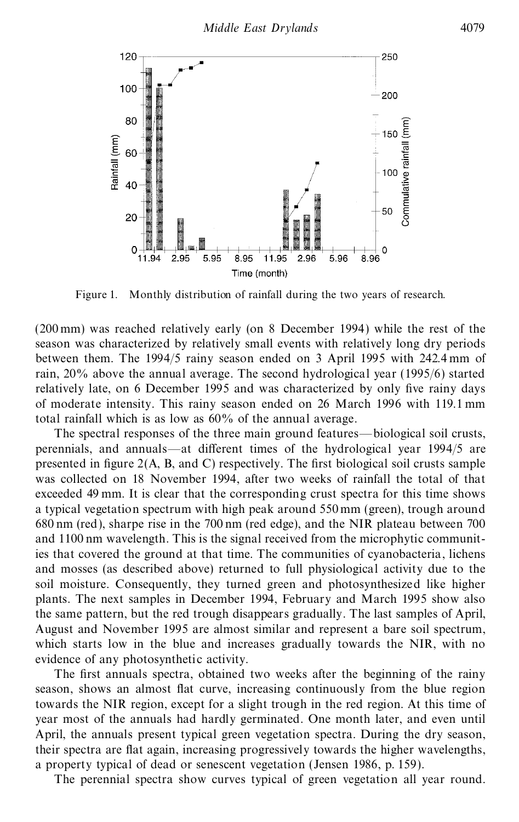

Figure 1. Monthly distribution of rainfall during the two years of research.

(200 mm) was reached relatively early (on 8 December 1994) while the rest of the season was characterized by relatively small events with relatively long dry periods between them. The 1994/5 rainy season ended on 3 April 1995 with 242.4 mm of rain, 20% above the annual average. The second hydrological year (1995/6) started relatively late, on 6 December 1995 and was characterized by only five rainy days of moderate intensity. This rainy season ended on 26 March 1996 with 119.1 mm total rainfall which is as low as 60% of the annual average.

The spectral responses of the three main ground features—biological soil crusts, perennials, and annuals—at different times of the hydrological year 1994/5 are presented in figure  $2(A, B, and C)$  respectively. The first biological soil crusts sample was collected on 18 November 1994, after two weeks of rainfall the total of that exceeded 49 mm. It is clear that the corresponding crust spectra for this time shows a typical vegetation spectrum with high peak around 550 mm (green), trough around 680 nm (red), sharpe rise in the 700 nm (red edge), and the NIR plateau between 700 and 1100 nm wavelength. This is the signal received from the microphytic communities that covered the ground at that time. The communities of cyanobacteria, lichens and mosses (as described above) returned to full physiological activity due to the soil moisture. Consequently, they turned green and photosynthesized like higher plants. The next samples in December 1994, February and March 1995 show also the same pattern, but the red trough disappears gradually. The last samples of April, August and November 1995 are almost similar and represent a bare soil spectrum, which starts low in the blue and increases gradually towards the NIR, with no evidence of any photosynthetic activity.

The first annuals spectra, obtained two weeks after the beginning of the rainy season, shows an almost flat curve, increasing continuously from the blue region towards the NIR region, except for a slight trough in the red region. At this time of year most of the annuals had hardly germinated. One month later, and even until April, the annuals present typical green vegetation spectra. During the dry season, their spectra are flat again, increasing progressively towards the higher wavelengths, a property typical of dead or senescent vegetation (Jensen 1986, p. 159).

The perennial spectra show curves typical of green vegetation all year round.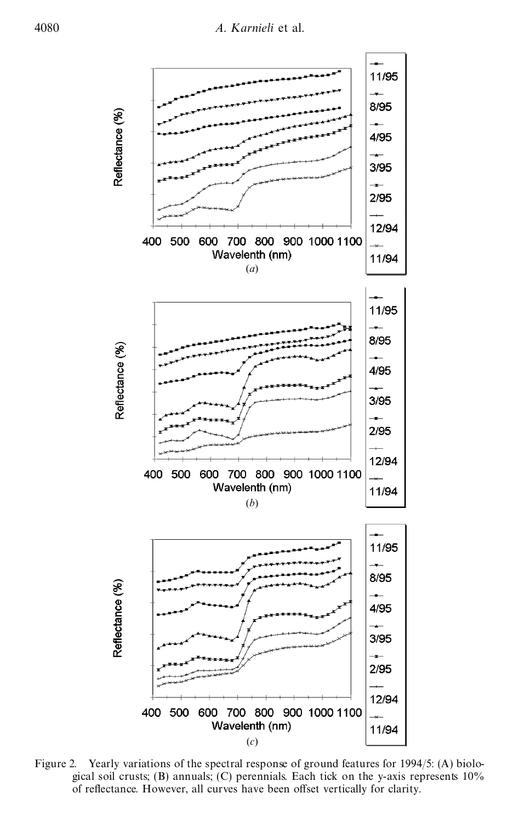

Figure 2. Yearly variations of the spectral response of ground features for 1994/5: (A) biolo gical soil crusts; (B) annuals; (C) perennials. Each tick on the y-axis represents  $10\%$ of reflectance. However, all curves have been offset vertically for clarity.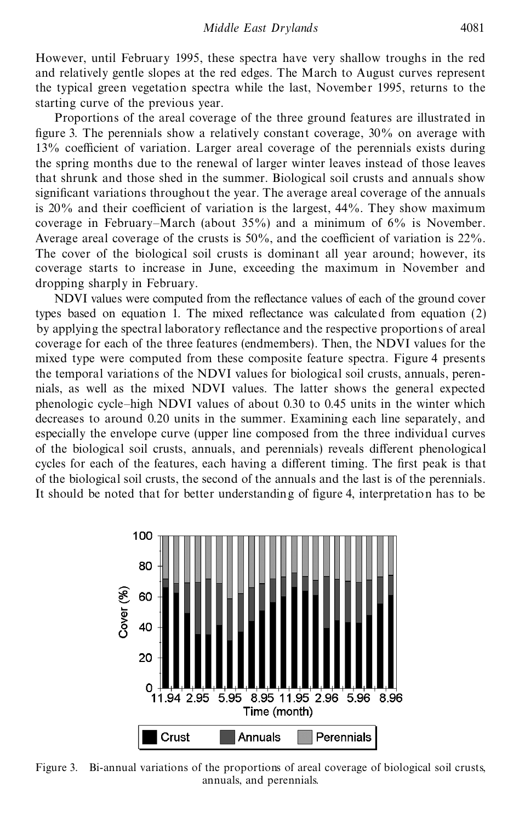However, until February 1995, these spectra have very shallow troughs in the red and relatively gentle slopes at the red edges. The March to August curves represent the typical green vegetation spectra while the last, November 1995, returns to the starting curve of the previous year.

Proportions of the areal coverage of the three ground features are illustrated in figure 3. The perennials show a relatively constant coverage,  $30\%$  on average with 13% coefficient of variation. Larger areal coverage of the perennials exists during the spring months due to the renewal of larger winter leaves instead of those leaves that shrunk and those shed in the summer. Biological soil crusts and annuals show significant variations throughout the year. The average areal coverage of the annuals is 20% and their coefficient of variation is the largest,  $44\%$ . They show maximum coverage in February–March (about 35%) and a minimum of 6% is November. Average areal coverage of the crusts is  $50\%$ , and the coefficient of variation is  $22\%$ . The cover of the biological soil crusts is dominant all year around; however, its coverage starts to increase in June, exceeding the maximum in November and dropping sharply in February.

NDVI values were computed from the reflectance values of each of the ground cover types based on equation 1. The mixed reflectance was calculated from equation  $(2)$ by applying the spectral laboratory reflectance and the respective proportions of areal coverage for each of the three features (endmembers). Then, the NDVI values for the mixed type were computed from these composite feature spectra. Figure 4 presents the temporal variations of the NDVI values for biological soil crusts, annuals, peren nials, as well as the mixed NDVI values. The latter shows the general expected phenologic cycle–high NDVI values of about 0.30 to 0.45 units in the winter which decreases to around 0.20 units in the summer. Examining each line separately, and especially the envelope curve (upper line composed from the three individual curves of the biological soil crusts, annuals, and perennials) reveals different phenological cycles for each of the features, each having a different timing. The first peak is that of the biological soil crusts, the second of the annuals and the last is of the perennials. It should be noted that for better understanding of figure 4, interpretation has to be



Figure 3. Bi-annual variations of the proportions of areal coverage of biological soil crusts, annuals, and perennials.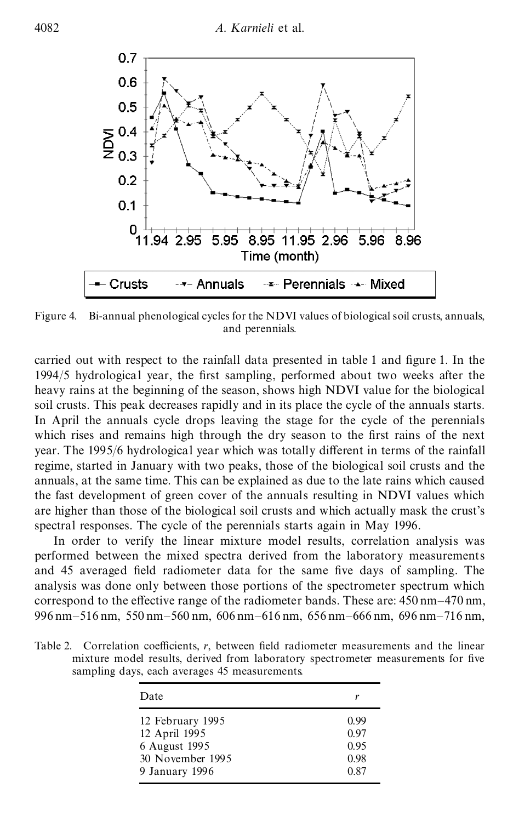

Figure 4. Bi-annual phenological cycles for the NDVI values of biological soil crusts, annuals, and perennials.

carried out with respect to the rainfall data presented in table 1 and figure 1. In the  $1994/5$  hydrological year, the first sampling, performed about two weeks after the heavy rains at the beginning of the season, shows high NDVI value for the biological soil crusts. This peak decreases rapidly and in its place the cycle of the annuals starts. In April the annuals cycle drops leaving the stage for the cycle of the perennials which rises and remains high through the dry season to the first rains of the next year. The 1995/6 hydrological year which was totally different in terms of the rainfall regime, started in January with two peaks, those of the biological soil crusts and the annuals, at the same time. This can be explained as due to the late rains which caused the fast development of green cover of the annuals resulting in NDVI values which are higher than those of the biological soil crusts and which actually mask the crust's spectral responses. The cycle of the perennials starts again in May 1996.

In order to verify the linear mixture model results, correlation analysis was performed between the mixed spectra derived from the laboratory measurements and 45 averaged field radiometer data for the same five days of sampling. The analysis was done only between those portions of the spectrometer spectrum which correspond to the effective range of the radiometer bands. These are: 450 nm–470 nm, 996 nm–516 nm, 550 nm–560 nm, 606 nm–616 nm, 656 nm–666 nm, 696 nm–716 nm,

Table 2. Correlation coefficients, r, between field radiometer measurements and the linear mixture model results, derived from laboratory spectrometer measurements for five sampling days, each averages 45 measurements.

| Date             |      |
|------------------|------|
| 12 February 1995 | 0.99 |
| 12 April 1995    | 0.97 |
| 6 August 1995    | 0.95 |
| 30 November 1995 | 0.98 |
| 9 January 1996   | 0.87 |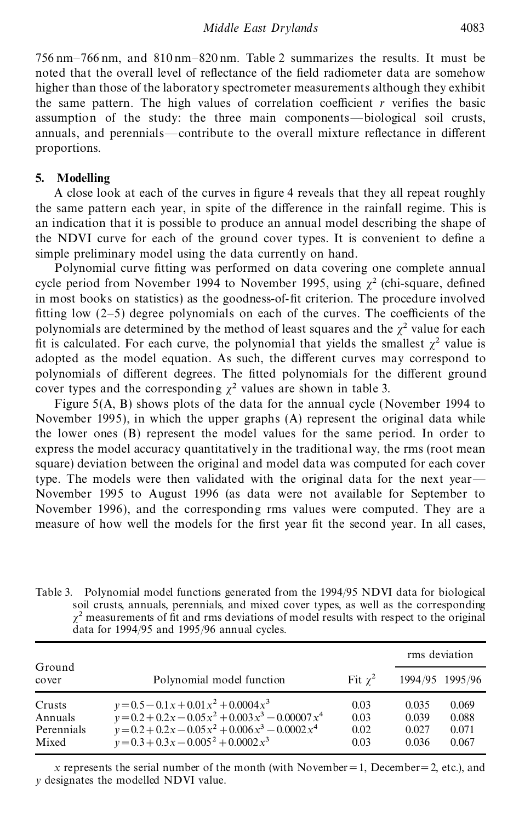756 nm–766 nm, and 810 nm–820 nm. Table 2 summarizes the results. It must be noted that the overall level of reflectance of the field radiometer data are somehow higher than those of the laboratory spectrometer measurements although they exhibit the same pattern. The high values of correlation coefficient  $r$  verifies the basic assumption of the study: the three main components—biological soil crusts, annuals, and perennials—contribute to the overall mixture reflectance in different proportions.

#### **5. Modelling**

A close look at each of the curves in gure 4 reveals that they all repeat roughly the same pattern each year, in spite of the difference in the rainfall regime. This is an indication that it is possible to produce an annual model describing the shape of the NDVI curve for each of the ground cover types. It is convenient to define a simple preliminary model using the data currently on hand.

Polynomial curve fitting was performed on data covering one complete annual cycle period from November 1994 to November 1995, using  $\chi^2$  (chi-square, defined in most books on statistics) as the goodness-of-fit criterion. The procedure involved fitting low  $(2-5)$  degree polynomials on each of the curves. The coefficients of the polynomials are determined by the method of least squares and the  $\gamma^2$  value for each fit is calculated. For each curve, the polynomial that yields the smallest  $\chi^2$  value is adopted as the model equation. As such, the different curves may correspond to polynomials of different degrees. The fitted polynomials for the different ground cover types and the corresponding  $\chi^2$  values are shown in table 3.

Figure 5(A, B) shows plots of the data for the annual cycle (November 1994 to November 1995), in which the upper graphs (A) represent the original data while the lower ones (B) represent the model values for the same period. In order to express the model accuracy quantitatively in the traditional way, the rms (root mean square) deviation between the original and model data was computed for each cover type. The models were then validated with the original data for the next year— November 1995 to August 1996 (as data were not available for September to November 1996), and the corresponding rms values were computed. They are a measure of how well the models for the first year fit the second year. In all cases,

| Table 3. Polynomial model functions generated from the 1994/95 NDVI data for biological         |  |
|-------------------------------------------------------------------------------------------------|--|
| soil crusts, annuals, perennials, and mixed cover types, as well as the corresponding           |  |
| $\gamma^2$ measurements of fit and rms deviations of model results with respect to the original |  |
| data for $1994/95$ and $1995/96$ annual cycles.                                                 |  |
|                                                                                                 |  |

|                                          |                                                                                                                                                                           |                              | rms deviation                    |                                  |
|------------------------------------------|---------------------------------------------------------------------------------------------------------------------------------------------------------------------------|------------------------------|----------------------------------|----------------------------------|
| Ground<br>cover                          | Polynomial model function                                                                                                                                                 | Fit $\gamma^2$               |                                  | 1994/95 1995/96                  |
| Crusts<br>Annuals<br>Perennials<br>Mixed | $y = 0.5 - 0.1x + 0.01x^2 + 0.0004x^3$<br>$y = 0.2 + 0.2x - 0.05x^2 + 0.003x^3 - 0.00007x^4$<br>$y=0.2+0.2x-0.05x^2+0.006x^3-0.0002x^4$<br>$y=0.3+0.3x-0.005^2+0.0002x^3$ | 0.03<br>0.03<br>0.02<br>0.03 | 0.035<br>0.039<br>0.027<br>0.036 | 0.069<br>0.088<br>0.071<br>0.067 |

*x* represents the serial number of the month (with November=1, December=2, etc.), and *y* designates the modelled NDVI value.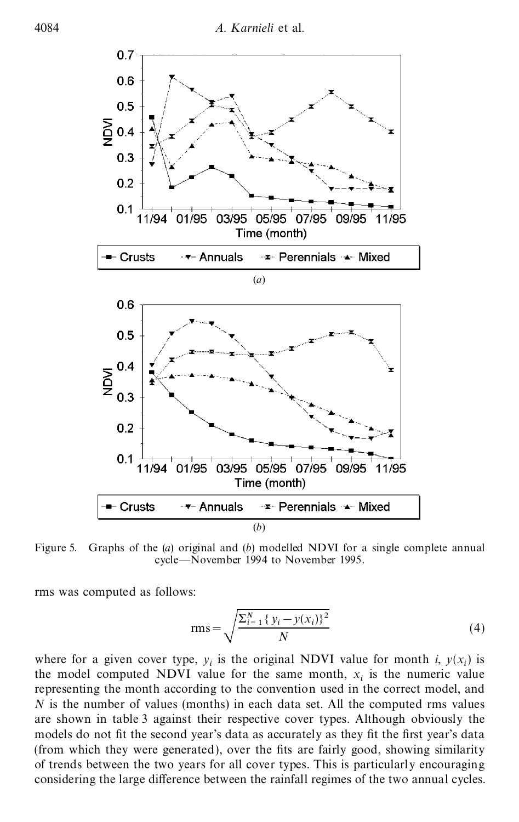

Figure 5. Graphs of the (*a*) original and (*b*) modelled NDVI for a single complete annual cycle—November 1994 to November 1995.

rms was computed as follows:

rms = 
$$
\sqrt{\frac{\sum_{i=1}^{N} \{y_i - y(x_i)\}^2}{N}}
$$
 (4)

where for a given cover type,  $y_i$  is the original NDVI value for month *i*,  $y(x_i)$  is the model computed NDVI value for the same month,  $x_i$  is the numeric value representing the month according to the convention used in the correct model, and *N* is the number of values (months) in each data set. All the computed rms values are shown in table 3 against their respective cover types. Although obviously the models do not fit the second year's data as accurately as they fit the first year's data (from which they were generated), over the fits are fairly good, showing similarity of trends between the two years for all cover types. This is particularly encouraging considering the large difference between the rainfall regimes of the two annual cycles.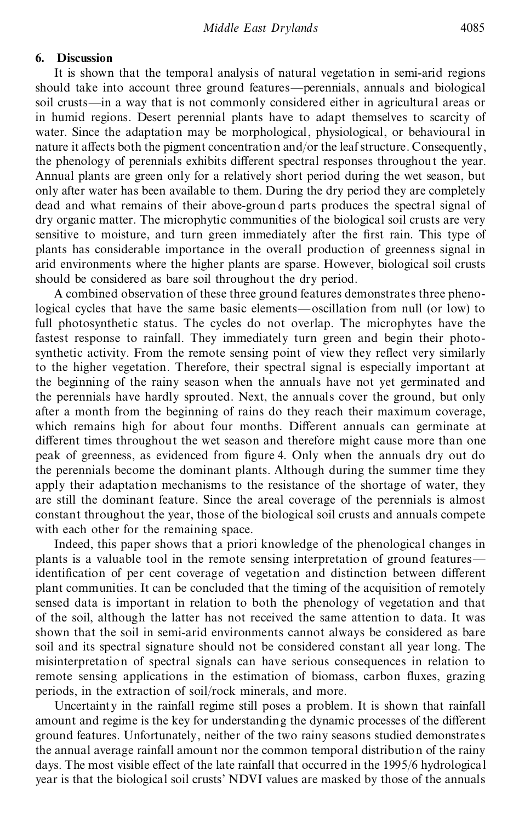## **6. Discussion**

It is shown that the temporal analysis of natural vegetation in semi-arid regions should take into account three ground features—perennials, annuals and biological soil crusts—in a way that is not commonly considered either in agricultural areas or in humid regions. Desert perennial plants have to adapt themselves to scarcity of water. Since the adaptation may be morphological, physiological, or behavioural in nature it affects both the pigment concentration and/or the leaf structure. Consequently, the phenology of perennials exhibits different spectral responses throughout the year. Annual plants are green only for a relatively short period during the wet season, but only after water has been available to them. During the dry period they are completely dead and what remains of their above-ground parts produces the spectral signal of dry organic matter. The microphytic communities of the biological soil crusts are very sensitive to moisture, and turn green immediately after the first rain. This type of plants has considerable importance in the overall production of greenness signal in arid environments where the higher plants are sparse. However, biological soil crusts should be considered as bare soil throughout the dry period.

A combined observation of these three ground features demonstrates three phenological cycles that have the same basic elements—oscillation from null (or low) to full photosynthetic status. The cycles do not overlap. The microphytes have the fastest response to rainfall. They immediately turn green and begin their photo synthetic activity. From the remote sensing point of view they reflect very similarly to the higher vegetation. Therefore, their spectral signal is especially important at the beginning of the rainy season when the annuals have not yet germinated and the perennials have hardly sprouted. Next, the annuals cover the ground, but only after a month from the beginning of rains do they reach their maximum coverage, which remains high for about four months. Different annuals can germinate at different times throughout the wet season and therefore might cause more than one peak of greenness, as evidenced from figure 4. Only when the annuals dry out do the perennials become the dominant plants. Although during the summer time they apply their adaptation mechanisms to the resistance of the shortage of water, they are still the dominant feature. Since the areal coverage of the perennials is almost constant throughout the year, those of the biological soil crusts and annuals compete with each other for the remaining space.

Indeed, this paper shows that a priori knowledge of the phenological changes in plants is a valuable tool in the remote sensing interpretation of ground features identification of per cent coverage of vegetation and distinction between different plant communities. It can be concluded that the timing of the acquisition of remotely sensed data is important in relation to both the phenology of vegetation and that of the soil, although the latter has not received the same attention to data. It was shown that the soil in semi-arid environments cannot always be considered as bare soil and its spectral signature should not be considered constant all year long. The misinterpretation of spectral signals can have serious consequences in relation to remote sensing applications in the estimation of biomass, carbon fluxes, grazing periods, in the extraction of soil/rock minerals, and more.

Uncertainty in the rainfall regime still poses a problem. It is shown that rainfall amount and regime is the key for understanding the dynamic processes of the different ground features. Unfortunately, neither of the two rainy seasons studied demonstrates the annual average rainfall amount nor the common temporal distribution of the rainy days. The most visible effect of the late rainfall that occurred in the 1995/6 hydrological year is that the biological soil crusts' NDVI values are masked by those of the annuals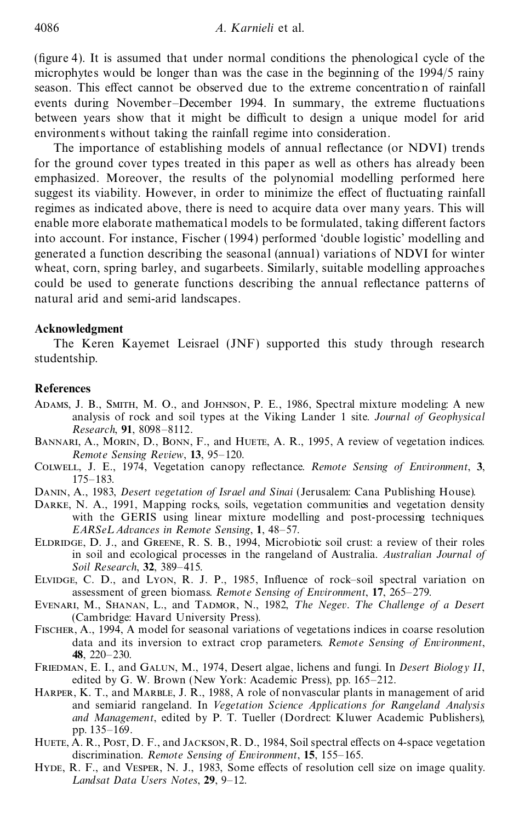$(figure 4)$ . It is assumed that under normal conditions the phenological cycle of the microphytes would be longer than was the case in the beginning of the 1994/5 rainy season. This effect cannot be observed due to the extreme concentration of rainfall events during November–December 1994. In summary, the extreme fluctuations between years show that it might be difficult to design a unique model for arid environments without taking the rainfall regime into consideration.

The importance of establishing models of annual reflectance (or NDVI) trends for the ground cover types treated in this paper as well as others has already been emphasized. Moreover, the results of the polynomial modelling performed here suggest its viability. However, in order to minimize the effect of fluctuating rainfall regimes as indicated above, there is need to acquire data over many years. This will enable more elaborate mathematical models to be formulated, taking different factors into account. For instance, Fischer (1994) performed 'double logistic' modelling and generated a function describing the seasonal (annual) variations of NDVI for winter wheat, corn, spring barley, and sugarbeets. Similarly, suitable modelling approaches could be used to generate functions describing the annual reflectance patterns of natural arid and semi-arid landscapes.

## **Acknowledgment**

The Keren Kayemet Leisrael (JNF) supported this study through research studentship.

#### **References**

- Adams, J. B., Smith, M. O., and Johnson, P. E., 1986, Spectral mixture modeling: A new analysis of rock and soil types at the Viking Lander 1 site. *Journal of Geophysical Research*, **91**, 8098–8112.
- BANNARI, A., MORIN, D., BONN, F., and HUETE, A. R., 1995, A review of vegetation indices. *Remote Sensing Review*, **13**, 95–120.
- COLWELL, J. E., 1974, Vegetation canopy reflectance. *Remote Sensing of Environment*, 3, 175–183.
- Danin, A., 1983, *Desert vegetation of Israel and Sinai* (Jerusalem: Cana Publishing House).
- Darke, N. A., 1991, Mapping rocks, soils, vegetation communities and vegetation density with the GERIS using linear mixture modelling and post-processing techniques. *EARSeL Advances in Remote Sensing*, **1**, 48–57.
- ELDRIDGE, D. J., and GREENE, R. S. B., 1994, Microbiotic soil crust: a review of their roles in soil and ecological processes in the rangeland of Australia. *Australian Journal of Soil Research*, **32**, 389–415.
- ELVIDGE, C. D., and LYON, R. J. P., 1985, Influence of rock–soil spectral variation on assessment of green biomass. *Remote Sensing of Environment*, **17**, 265–279.
- Evenari, M., Shanan, L., and Tadmor, N., 1982, *T he Negev. T he Challenge of a Desert* (Cambridge: Havard University Press).
- Fischer, A., 1994, A model for seasonal variations of vegetations indices in coarse resolution data and its inversion to extract crop parameters. *Remote Sensing of Environment*, **48**, 220–230.
- Friedman, E. I., and Galun, M., 1974, Desert algae, lichens and fungi. In *Desert Biology II*, edited by G. W. Brown (New York: Academic Press), pp. 165–212.
- HARPER, K. T., and MARBLE, J. R., 1988, A role of nonvascular plants in management of arid and semiarid rangeland. In *Vegetation Science Applications for Rangeland Analysis and Management*, edited by P. T. Tueller (Dordrect: Kluwer Academic Publishers), pp. 135–169.
- HUETE, A. R., POST, D. F., and JACKSON, R. D., 1984, Soil spectral effects on 4-space vegetation discrimination. *Remote Sensing of Environment*, **15**, 155–165.
- HYDE, R. F., and VESPER, N. J., 1983, Some effects of resolution cell size on image quality. *L andsat Data Users Notes*, **29**, 9–12.